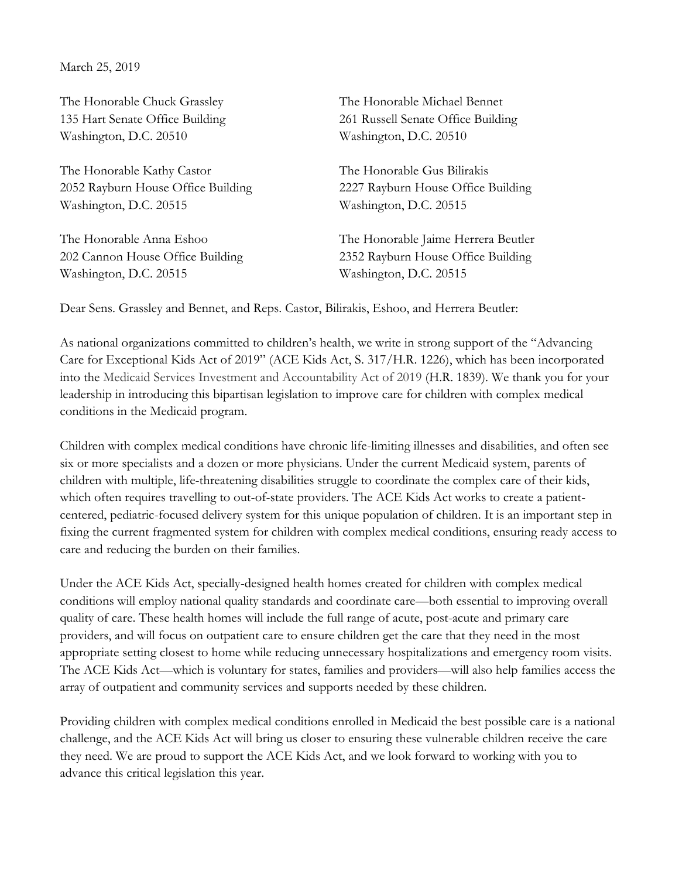March 25, 2019

The Honorable Chuck Grassley The Honorable Michael Bennet Washington, D.C. 20510 Washington, D.C. 20510

The Honorable Kathy Castor The Honorable Gus Bilirakis Washington, D.C. 20515 Washington, D.C. 20515

Washington, D.C. 20515 Washington, D.C. 20515

135 Hart Senate Office Building 261 Russell Senate Office Building

2052 Rayburn House Office Building 2227 Rayburn House Office Building

The Honorable Anna Eshoo The Honorable Jaime Herrera Beutler 202 Cannon House Office Building 2352 Rayburn House Office Building

Dear Sens. Grassley and Bennet, and Reps. Castor, Bilirakis, Eshoo, and Herrera Beutler:

As national organizations committed to children's health, we write in strong support of the "Advancing Care for Exceptional Kids Act of 2019" (ACE Kids Act, S. 317/H.R. 1226), which has been incorporated into the Medicaid Services Investment and Accountability Act of 2019 (H.R. 1839). We thank you for your leadership in introducing this bipartisan legislation to improve care for children with complex medical conditions in the Medicaid program.

Children with complex medical conditions have chronic life-limiting illnesses and disabilities, and often see six or more specialists and a dozen or more physicians. Under the current Medicaid system, parents of children with multiple, life-threatening disabilities struggle to coordinate the complex care of their kids, which often requires travelling to out-of-state providers. The ACE Kids Act works to create a patientcentered, pediatric-focused delivery system for this unique population of children. It is an important step in fixing the current fragmented system for children with complex medical conditions, ensuring ready access to care and reducing the burden on their families.

Under the ACE Kids Act, specially-designed health homes created for children with complex medical conditions will employ national quality standards and coordinate care—both essential to improving overall quality of care. These health homes will include the full range of acute, post-acute and primary care providers, and will focus on outpatient care to ensure children get the care that they need in the most appropriate setting closest to home while reducing unnecessary hospitalizations and emergency room visits. The ACE Kids Act—which is voluntary for states, families and providers—will also help families access the array of outpatient and community services and supports needed by these children.

Providing children with complex medical conditions enrolled in Medicaid the best possible care is a national challenge, and the ACE Kids Act will bring us closer to ensuring these vulnerable children receive the care they need. We are proud to support the ACE Kids Act, and we look forward to working with you to advance this critical legislation this year.